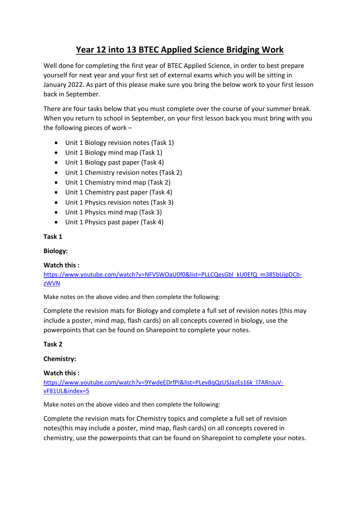### **Year 12 into 13 BTEC Applied Science Bridging Work**

Well done for completing the first year of BTEC Applied Science, in order to best prepare yourself for next year and your first set of external exams which you will be sitting in January 2022. As part of this please make sure you bring the below work to your first lesson back in September.

There are four tasks below that you must complete over the course of your summer break. When you return to school in September, on your first lesson back you must bring with you the following pieces of work –

- Unit 1 Biology revision notes (Task 1)
- Unit 1 Biology mind map (Task 1)
- Unit 1 Biology past paper (Task 4)
- Unit 1 Chemistry revision notes (Task 2)
- Unit 1 Chemistry mind map (Task 2)
- Unit 1 Chemistry past paper (Task 4)
- Unit 1 Physics revision notes (Task 3)
- Unit 1 Physics mind map (Task 3)
- Unit 1 Physics past paper (Task 4)

#### **Task 1**

### **Biology:**

#### **Watch this :**

[https://www.youtube.com/watch?v=NFVSWOaU0f0&list=PLLCQesGbl\\_kU0EfQ\\_m385bUjpDCb](https://www.youtube.com/watch?v=NFVSWOaU0f0&list=PLLCQesGbl_kU0EfQ_m385bUjpDCb-zWVN)[zWVN](https://www.youtube.com/watch?v=NFVSWOaU0f0&list=PLLCQesGbl_kU0EfQ_m385bUjpDCb-zWVN)

Make notes on the above video and then complete the following:

Complete the revision mats for Biology and complete a full set of revision notes (this may include a poster, mind map, flash cards) on all concepts covered in biology, use the powerpoints that can be found on Sharepoint to complete your notes.

#### **Task 2**

#### **Chemistry:**

#### **Watch this :**

[https://www.youtube.com/watch?v=9YwdeEDrfPI&list=PLev8qQzUSJazEs16k\\_l7ARnJuV](https://www.youtube.com/watch?v=9YwdeEDrfPI&list=PLev8qQzUSJazEs16k_l7ARnJuV-vF81UL&index=5)[vF81UL&index=5](https://www.youtube.com/watch?v=9YwdeEDrfPI&list=PLev8qQzUSJazEs16k_l7ARnJuV-vF81UL&index=5)

Make notes on the above video and then complete the following:

Complete the revision mats for Chemistry topics and complete a full set of revision notes(this may include a poster, mind map, flash cards) on all concepts covered in chemistry, use the powerpoints that can be found on Sharepoint to complete your notes.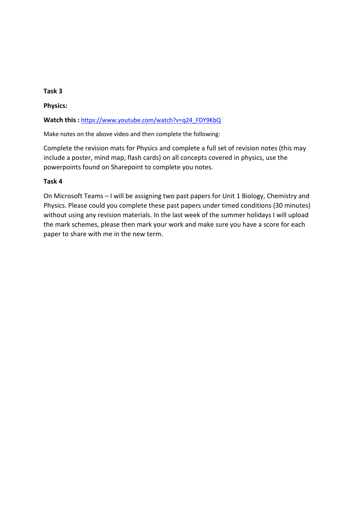### **Task 3**

**Physics:**

Watch this : [https://www.youtube.com/watch?v=q24\\_FDY9KbQ](https://www.youtube.com/watch?v=q24_FDY9KbQ)

Make notes on the above video and then complete the following:

Complete the revision mats for Physics and complete a full set of revision notes (this may include a poster, mind map, flash cards) on all concepts covered in physics, use the powerpoints found on Sharepoint to complete you notes.

### **Task 4**

On Microsoft Teams – I will be assigning two past papers for Unit 1 Biology, Chemistry and Physics. Please could you complete these past papers under timed conditions (30 minutes) without using any revision materials. In the last week of the summer holidays I will upload the mark schemes, please then mark your work and make sure you have a score for each paper to share with me in the new term.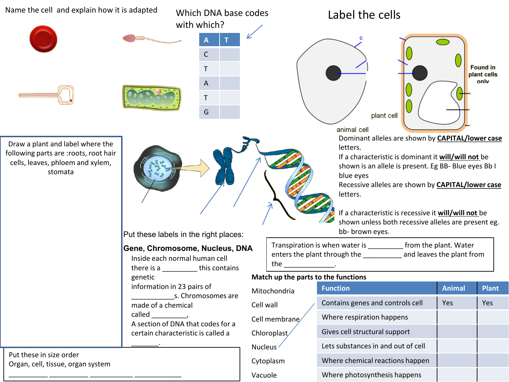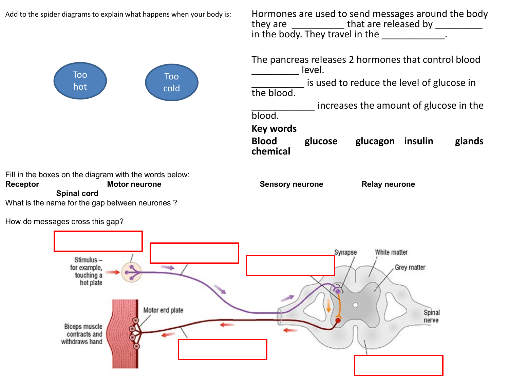Add to the spider diagrams to explain what happens when your body is:

Hormones are used to send messages around the body they are  $\frac{1}{\sqrt{1-\frac{1}{2}}\sqrt{1-\frac{1}{2}}\sqrt{1-\frac{1}{2}}\sqrt{1-\frac{1}{2}}\sqrt{1-\frac{1}{2}}\sqrt{1-\frac{1}{2}}\sqrt{1-\frac{1}{2}}\sqrt{1-\frac{1}{2}}\sqrt{1-\frac{1}{2}}\sqrt{1-\frac{1}{2}}\sqrt{1-\frac{1}{2}}\sqrt{1-\frac{1}{2}}\sqrt{1-\frac{1}{2}}\sqrt{1-\frac{1}{2}}\sqrt{1-\frac{1}{2}}\sqrt{1-\frac{1}{2}}\sqrt{1-\frac{1}{2}}\sqrt{1-\frac{1}{2}}\sqrt{1-\frac{1$ in the body. They travel in the \_\_\_\_\_\_\_\_\_\_\_\_.



| The pancreas releases 2 hormones that control blood<br>level. |                                        |                                           |  |        |  |  |  |
|---------------------------------------------------------------|----------------------------------------|-------------------------------------------|--|--------|--|--|--|
| the blood.                                                    |                                        | is used to reduce the level of glucose in |  |        |  |  |  |
| blood.                                                        | increases the amount of glucose in the |                                           |  |        |  |  |  |
| <b>Key words</b><br><b>Blood</b><br>chemical                  | glucose                                | glucagon insulin                          |  | glands |  |  |  |

Fill in the boxes on the diagram with the words below: **Receptor Motor neurone Sensory neurone** Relay neurone

**Spinal cord**

What is the name for the gap between neurones ?

How do messages cross this gap?

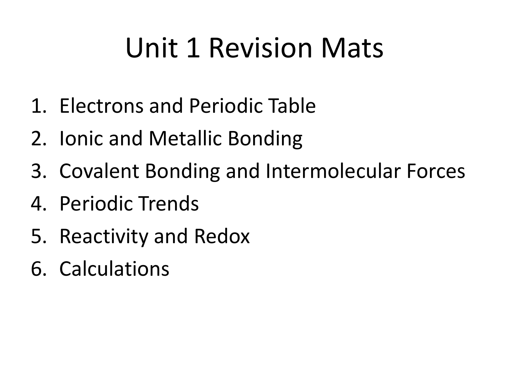# Unit 1 Revision Mats

- 1. Electrons and Periodic Table
- 2. Ionic and Metallic Bonding
- 3. Covalent Bonding and Intermolecular Forces
- 4. Periodic Trends
- 5. Reactivity and Redox
- 6. Calculations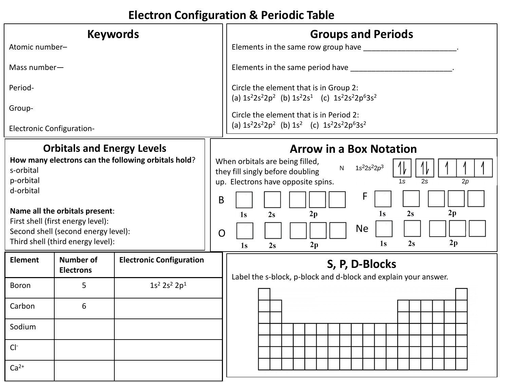# **Electron Configuration & Periodic Table**

| <b>Keywords</b>                                                                                                                                                                                                                                                                    |                                      |                                 |                                                                                                                                                                                                                                                                                                                     | <b>Groups and Periods</b>                                                                          |  |  |
|------------------------------------------------------------------------------------------------------------------------------------------------------------------------------------------------------------------------------------------------------------------------------------|--------------------------------------|---------------------------------|---------------------------------------------------------------------------------------------------------------------------------------------------------------------------------------------------------------------------------------------------------------------------------------------------------------------|----------------------------------------------------------------------------------------------------|--|--|
| Atomic number-                                                                                                                                                                                                                                                                     |                                      |                                 | Elements in the same row group have ____________                                                                                                                                                                                                                                                                    |                                                                                                    |  |  |
| Mass number-                                                                                                                                                                                                                                                                       |                                      |                                 |                                                                                                                                                                                                                                                                                                                     | Elements in the same period have                                                                   |  |  |
| Period-                                                                                                                                                                                                                                                                            |                                      |                                 |                                                                                                                                                                                                                                                                                                                     | Circle the element that is in Group 2:<br>(a) $1s^22s^22p^2$ (b) $1s^22s^1$ (c) $1s^22s^22p^63s^2$ |  |  |
| Group-                                                                                                                                                                                                                                                                             |                                      |                                 |                                                                                                                                                                                                                                                                                                                     | Circle the element that is in Period 2:                                                            |  |  |
| <b>Electronic Configuration-</b>                                                                                                                                                                                                                                                   |                                      |                                 |                                                                                                                                                                                                                                                                                                                     | (a) $1s^22s^22p^2$ (b) $1s^2$ (c) $1s^22s^22p^63s^2$                                               |  |  |
| <b>Orbitals and Energy Levels</b><br>How many electrons can the following orbitals hold?<br>s-orbital<br>p-orbital<br>d-orbital<br>Name all the orbitals present:<br>First shell (first energy level):<br>Second shell (second energy level):<br>Third shell (third energy level): |                                      | B<br>O                          | <b>Arrow in a Box Notation</b><br>When orbitals are being filled,<br>$1s^2 2s^2 2p^3$<br>$\mathsf{N}$<br>they fill singly before doubling<br>up. Electrons have opposite spins.<br>1s<br>2s<br>2p<br>F<br>2p<br>2s<br>1s<br>2p<br>1 <sub>s</sub><br>2s<br><b>Ne</b><br>2p<br>1s<br>2s<br>2p<br>2s<br>1 <sub>s</sub> |                                                                                                    |  |  |
| <b>Element</b>                                                                                                                                                                                                                                                                     | <b>Number of</b><br><b>Electrons</b> | <b>Electronic Configuration</b> |                                                                                                                                                                                                                                                                                                                     | S, P, D-Blocks                                                                                     |  |  |
| Boron                                                                                                                                                                                                                                                                              | 5                                    | $1s^2 2s^2 2p^1$                |                                                                                                                                                                                                                                                                                                                     | Label the s-block, p-block and d-block and explain your answer.                                    |  |  |
| Carbon                                                                                                                                                                                                                                                                             | 6                                    |                                 |                                                                                                                                                                                                                                                                                                                     |                                                                                                    |  |  |
| Sodium                                                                                                                                                                                                                                                                             |                                      |                                 |                                                                                                                                                                                                                                                                                                                     |                                                                                                    |  |  |
| $Cl^-$                                                                                                                                                                                                                                                                             |                                      |                                 |                                                                                                                                                                                                                                                                                                                     |                                                                                                    |  |  |
| $Ca2+$                                                                                                                                                                                                                                                                             |                                      |                                 |                                                                                                                                                                                                                                                                                                                     |                                                                                                    |  |  |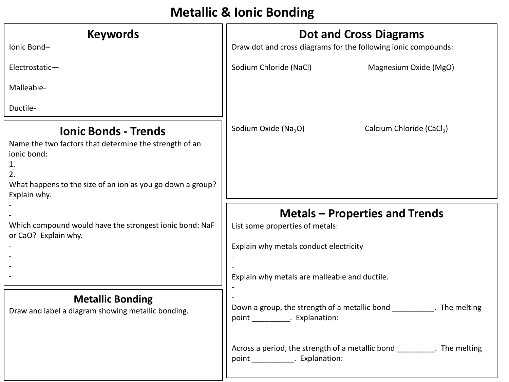# **Metallic & Ionic Bonding**

| <b>Keywords</b>                                                                                                                                                                                | <b>Dot and Cross Diagrams</b>                                                                                      |  |  |  |  |
|------------------------------------------------------------------------------------------------------------------------------------------------------------------------------------------------|--------------------------------------------------------------------------------------------------------------------|--|--|--|--|
| Ionic Bond-                                                                                                                                                                                    | Draw dot and cross diagrams for the following ionic compounds:                                                     |  |  |  |  |
| Electrostatic-                                                                                                                                                                                 | Sodium Chloride (NaCl)<br>Magnesium Oxide (MgO)                                                                    |  |  |  |  |
| Malleable-                                                                                                                                                                                     |                                                                                                                    |  |  |  |  |
| Ductile-                                                                                                                                                                                       |                                                                                                                    |  |  |  |  |
| <b>Ionic Bonds - Trends</b><br>Name the two factors that determine the strength of an<br>ionic bond:<br>1.<br>2.<br>What happens to the size of an ion as you go down a group?<br>Explain why. | Sodium Oxide (Na <sub>2</sub> O)<br>Calcium Chloride (CaCl <sub>2</sub> )                                          |  |  |  |  |
| Which compound would have the strongest ionic bond: NaF<br>or CaO? Explain why.                                                                                                                | <b>Metals - Properties and Trends</b><br>List some properties of metals:<br>Explain why metals conduct electricity |  |  |  |  |
|                                                                                                                                                                                                | Explain why metals are malleable and ductile.                                                                      |  |  |  |  |
| <b>Metallic Bonding</b><br>Draw and label a diagram showing metallic bonding.                                                                                                                  | Down a group, the strength of a metallic bond The melting<br>point _____________. Explanation:                     |  |  |  |  |
|                                                                                                                                                                                                | Across a period, the strength of a metallic bond ___________. The melting<br>point _____________. Explanation:     |  |  |  |  |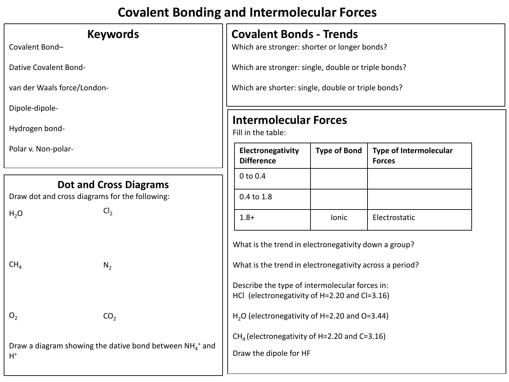# **Covalent Bonding and Intermolecular Forces**

### **Keywords**

Covalent Bond–

Dative Covalent Bond-

van der Waals force/London-

Dipole-dipole-

Hydrogen bond-

Polar v. Non-polar-

### **Dot and Cross Diagrams**

Draw dot and cross diagrams for the following:

 $H<sub>2</sub>O$  $CH<sub>4</sub>$  $O<sub>2</sub>$ Draw a diagram showing the dative bond between  $NH_4^+$  and  $H^+$  $Cl<sub>2</sub>$  $N<sub>2</sub>$  $CO<sub>2</sub>$ 

### **Covalent Bonds - Trends**

Which are stronger: shorter or longer bonds?

Which are stronger: single, double or triple bonds?

Which are shorter: single, double or triple bonds?

# **Intermolecular Forces**

Fill in the table:

| Electronegativity<br><b>Difference</b> | <b>Type of Bond</b> | <b>Type of Intermolecular</b><br><b>Forces</b> |
|----------------------------------------|---------------------|------------------------------------------------|
| $0$ to $0.4$                           |                     |                                                |
| 0.4 to 1.8                             |                     |                                                |
| 1.8+                                   | <b>lonic</b>        | Electrostatic                                  |

What is the trend in electronegativity down a group?

What is the trend in electronegativity across a period?

Describe the type of intermolecular forces in: HCl (electronegativity of H=2.20 and Cl=3.16)

H<sub>2</sub>O (electronegativity of H=2.20 and O=3.44)

 $CH<sub>4</sub>$  (electronegativity of H=2.20 and C=3.16)

Draw the dipole for HF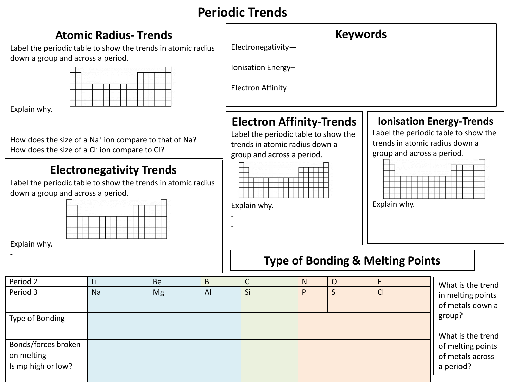# **Periodic Trends**

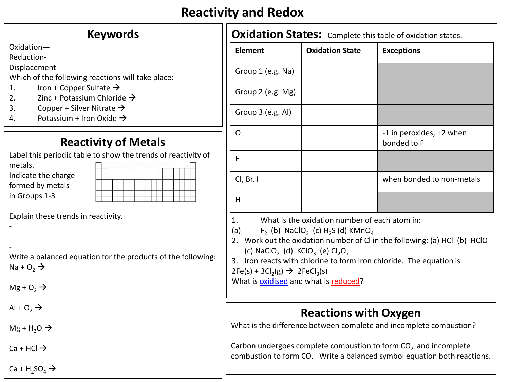# **Reactivity and Redox**

| <b>Keywords</b>                                               | <b>Oxidation States: Comp</b>                                                   |                                                       |
|---------------------------------------------------------------|---------------------------------------------------------------------------------|-------------------------------------------------------|
| Oxidation-                                                    | <b>Element</b>                                                                  | <b>Oxidation S</b>                                    |
| Reduction-                                                    |                                                                                 |                                                       |
| Displacement-                                                 | Group 1 (e.g. Na)                                                               |                                                       |
| Which of the following reactions will take place:             |                                                                                 |                                                       |
| Iron + Copper Sulfate $\rightarrow$<br>1.                     | Group 2 (e.g. Mg)                                                               |                                                       |
| 2.<br>Zinc + Potassium Chloride $\rightarrow$                 |                                                                                 |                                                       |
| 3.<br>Copper + Silver Nitrate $\rightarrow$                   | Group 3 (e.g. Al)                                                               |                                                       |
| Potassium + Iron Oxide $\rightarrow$<br>4.                    |                                                                                 |                                                       |
|                                                               | $\mathsf{O}$                                                                    |                                                       |
| <b>Reactivity of Metals</b>                                   |                                                                                 |                                                       |
| Label this periodic table to show the trends of reactivity of | F                                                                               |                                                       |
| metals.                                                       |                                                                                 |                                                       |
| Indicate the charge                                           |                                                                                 |                                                       |
| formed by metals                                              | Cl, Br, I                                                                       |                                                       |
| in Groups 1-3                                                 | H                                                                               |                                                       |
|                                                               |                                                                                 |                                                       |
| Explain these trends in reactivity.                           | 1.                                                                              | What is the oxidation nur                             |
|                                                               | (a)                                                                             | $F_2$ (b) NaClO <sub>3</sub> (c) H <sub>2</sub> S (d) |
|                                                               | 2. Work out the oxidation numbe                                                 |                                                       |
|                                                               | (c) NaClO <sub>2</sub> (d) KClO <sub>3</sub> (e) Cl <sub>2</sub> O <sub>3</sub> |                                                       |
| Write a balanced equation for the products of the following:  | 3. Iron reacts with chlorine to for                                             |                                                       |
| Na + $O_2 \rightarrow$                                        | $2Fe(s) + 3Cl2(g)$ $\rightarrow$ $2FeCl3(s)$                                    |                                                       |
|                                                               | What is <b>oxidised</b> and what is redu                                        |                                                       |
| $Mg + O_2 \rightarrow$                                        |                                                                                 |                                                       |
|                                                               |                                                                                 |                                                       |
| Al + $O_2 \rightarrow$                                        |                                                                                 | <b>Reaction</b>                                       |
|                                                               |                                                                                 |                                                       |
| $Mg + H2O \rightarrow$                                        | What is the difference between co                                               |                                                       |
|                                                               | Carbon undergoes complete comb                                                  |                                                       |
| $Ca + HCl \rightarrow$                                        | combustion to form CO. Write a                                                  |                                                       |
|                                                               |                                                                                 |                                                       |
| $Ca + H_2SO_4 \rightarrow$                                    |                                                                                 |                                                       |

| <b>Oxidation States:</b> Complete this table of oxidation states.                                                                                                                                                                                                                                                                                                                                                                                                                       |                        |                                         |  |  |  |  |  |
|-----------------------------------------------------------------------------------------------------------------------------------------------------------------------------------------------------------------------------------------------------------------------------------------------------------------------------------------------------------------------------------------------------------------------------------------------------------------------------------------|------------------------|-----------------------------------------|--|--|--|--|--|
| <b>Element</b>                                                                                                                                                                                                                                                                                                                                                                                                                                                                          | <b>Oxidation State</b> | <b>Exceptions</b>                       |  |  |  |  |  |
| Group 1 (e.g. Na)                                                                                                                                                                                                                                                                                                                                                                                                                                                                       |                        |                                         |  |  |  |  |  |
| Group 2 (e.g. Mg)                                                                                                                                                                                                                                                                                                                                                                                                                                                                       |                        |                                         |  |  |  |  |  |
| Group $3$ (e.g. Al)                                                                                                                                                                                                                                                                                                                                                                                                                                                                     |                        |                                         |  |  |  |  |  |
| O                                                                                                                                                                                                                                                                                                                                                                                                                                                                                       |                        | -1 in peroxides, +2 when<br>bonded to F |  |  |  |  |  |
| F                                                                                                                                                                                                                                                                                                                                                                                                                                                                                       |                        |                                         |  |  |  |  |  |
| $Cl$ , Br, I                                                                                                                                                                                                                                                                                                                                                                                                                                                                            |                        | when bonded to non-metals               |  |  |  |  |  |
| H                                                                                                                                                                                                                                                                                                                                                                                                                                                                                       |                        |                                         |  |  |  |  |  |
| 1.<br>What is the oxidation number of each atom in:<br>(a)<br>$F_2$ (b) NaClO <sub>3</sub> (c) H <sub>2</sub> S (d) KMnO <sub>4</sub><br>2. Work out the oxidation number of CI in the following: (a) HCI (b) HCIO<br>(c) NaClO <sub>2</sub> (d) KClO <sub>3</sub> (e) Cl <sub>2</sub> O <sub>7</sub><br>3. Iron reacts with chlorine to form iron chloride. The equation is<br>$2Fe(s) + 3Cl2(g)$ $\rightarrow$ 2FeCl <sub>3</sub> (s)<br>What is <i>oxidised</i> and what is reduced? |                        |                                         |  |  |  |  |  |

# **Reactions with Oxygen**

omplete and incomplete combustion?

bustion to form  $CO<sub>2</sub>$  and incomplete balanced symbol equation both reactions.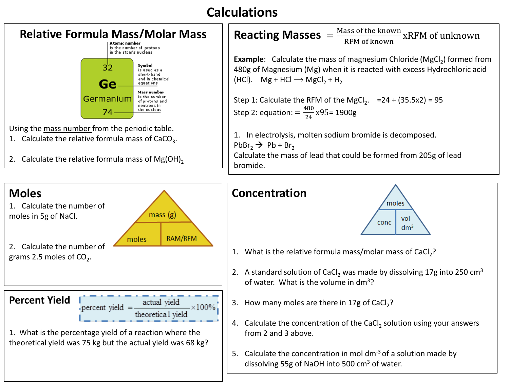# **Calculations**



Using the mass number from the periodic table.

1. Calculate the relative formula mass of  $CaCO<sub>3</sub>$ .



**Reacting Masses**  $=$   $\frac{\text{Mass of the known}}{\text{RFM of known}}$  xRFM of unknown **Example**: Calculate the mass of magnesium Chloride (MgCl<sub>2</sub>) formed from 480g of Magnesium (Mg) when it is reacted with excess Hydrochloric acid  $(HCl)$ . Mg + HCl  $\rightarrow$  MgCl<sub>2</sub> + H<sub>2</sub> Step 1: Calculate the RFM of the MgCl<sub>2</sub>.  $=$  24 + (35.5x2) = 95 Step 2: equation:  $=$   $\frac{480}{24}$ x95= 1900g 1. In electrolysis, molten sodium bromide is decomposed. PbBr<sub>2</sub>  $\rightarrow$  Pb + Br<sub>2</sub>

Calculate the mass of lead that could be formed from 205g of lead



- 1. What is the relative formula mass/molar mass of CaCl<sub>2</sub>?
- 2. A standard solution of CaCl<sub>2</sub> was made by dissolving 17g into 250 cm<sup>3</sup> of water. What is the volume in dm3?
- 3. How many moles are there in 17g of CaCl<sub>2</sub>?
- 4. Calculate the concentration of the CaCl<sub>2</sub> solution using your answers from 2 and 3 above.
- 5. Calculate the concentration in mol  $dm^{-3}$  of a solution made by dissolving 55g of NaOH into 500 cm3 of water.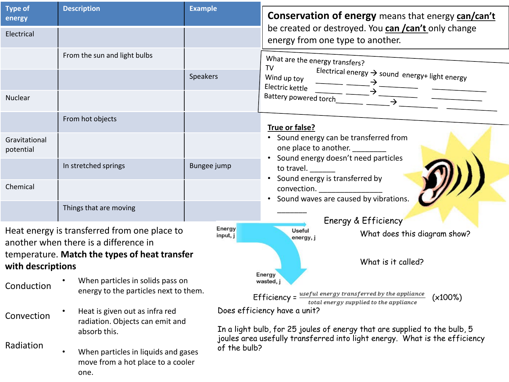| <b>Type of</b><br>energy   | <b>Description</b>                                                                            | <b>Example</b>     | <b>Conservation of energy</b> means that energy <b>can/can't</b>                                                                                           |  |  |  |  |
|----------------------------|-----------------------------------------------------------------------------------------------|--------------------|------------------------------------------------------------------------------------------------------------------------------------------------------------|--|--|--|--|
| Electrical                 |                                                                                               |                    | be created or destroyed. You can /can't only change<br>energy from one type to another.                                                                    |  |  |  |  |
|                            | From the sun and light bulbs                                                                  |                    | What are the energy transfers?<br>TV                                                                                                                       |  |  |  |  |
|                            |                                                                                               | <b>Speakers</b>    | Electrical energy $\rightarrow$ sound energy+ light energy<br>Wind up toy<br>Electric kettle                                                               |  |  |  |  |
| Nuclear                    |                                                                                               |                    | Battery powered torch_                                                                                                                                     |  |  |  |  |
|                            | From hot objects                                                                              |                    | True or false?                                                                                                                                             |  |  |  |  |
| Gravitational<br>potential |                                                                                               |                    | • Sound energy can be transferred from<br>one place to another.<br>• Sound energy doesn't need particles                                                   |  |  |  |  |
|                            | In stretched springs                                                                          | Bungee jump        | to travel.<br>• Sound energy is transferred by                                                                                                             |  |  |  |  |
| Chemical                   |                                                                                               |                    | convection. _________________<br>Sound waves are caused by vibrations.                                                                                     |  |  |  |  |
|                            | Things that are moving                                                                        |                    | Energy & Efficiency                                                                                                                                        |  |  |  |  |
|                            | Heat energy is transferred from one place to<br>another when there is a difference in         | Energy<br>input, j | Useful<br>What does this diagram show?<br>energy, j                                                                                                        |  |  |  |  |
| with descriptions          | temperature. Match the types of heat transfer                                                 |                    | What is it called?                                                                                                                                         |  |  |  |  |
| Conduction                 | When particles in solids pass on<br>energy to the particles next to them.                     |                    | Energy<br>wasted, j                                                                                                                                        |  |  |  |  |
|                            | Heat is given out as infra red                                                                |                    | Efficiency = $\frac{useful\ energy\ transferred\ by\ the\ appliance}$<br>(x100%)<br>total energy supplied to the appliance<br>Does efficiency have a unit? |  |  |  |  |
| Convection                 | radiation. Objects can emit and<br>absorb this.                                               |                    | In a light bulb, for 25 joules of energy that are supplied to the bulb, 5                                                                                  |  |  |  |  |
| Radiation                  | When particles in liquids and gases<br>$\bullet$<br>move from a hot place to a cooler<br>one. |                    | joules area usefully transferred into light energy. What is the efficiency<br>of the bulb?                                                                 |  |  |  |  |